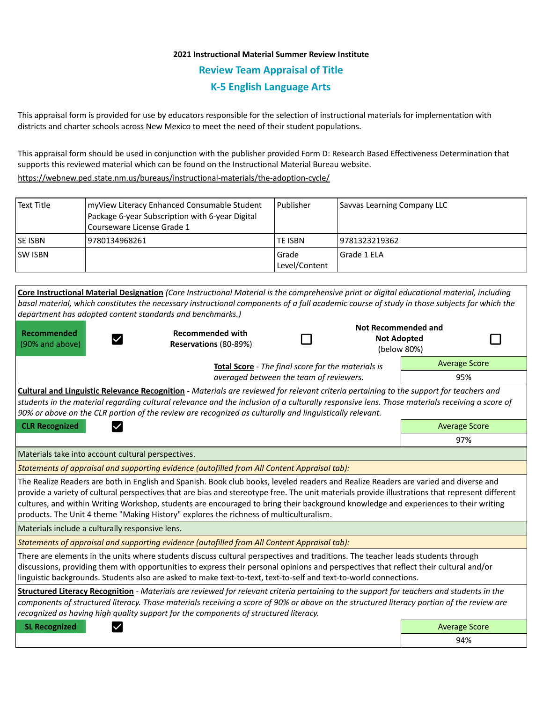## **2021 Instructional Material Summer Review Institute Review Team Appraisal of Title K-5 English Language Arts**

This appraisal form is provided for use by educators responsible for the selection of instructional materials for implementation with districts and charter schools across New Mexico to meet the need of their student populations.

This appraisal form should be used in conjunction with the publisher provided Form D: Research Based Effectiveness Determination that supports this reviewed material which can be found on the Instructional Material Bureau website.

<https://webnew.ped.state.nm.us/bureaus/instructional-materials/the-adoption-cycle/>

| Text Title                                                                                                                                                                                                                                                                                                                                             | myView Literacy Enhanced Consumable Student<br>Package 6-year Subscription with 6-year Digital<br>Courseware License Grade 1 | l Publisher              | Savvas Learning Company LLC                              |  |  |
|--------------------------------------------------------------------------------------------------------------------------------------------------------------------------------------------------------------------------------------------------------------------------------------------------------------------------------------------------------|------------------------------------------------------------------------------------------------------------------------------|--------------------------|----------------------------------------------------------|--|--|
| <b>SE ISBN</b>                                                                                                                                                                                                                                                                                                                                         | 9780134968261                                                                                                                | <b>TE ISBN</b>           | 9781323219362                                            |  |  |
| SW ISBN                                                                                                                                                                                                                                                                                                                                                |                                                                                                                              | l Grade<br>Level/Content | Grade 1 ELA                                              |  |  |
| Core Instructional Material Designation (Core Instructional Material is the comprehensive print or digital educational material, including<br>basal material, which constitutes the necessary instructional components of a full academic course of study in those subjects for which the<br>department has adopted content standards and benchmarks.) |                                                                                                                              |                          |                                                          |  |  |
| <b>Recommended</b><br>(90% and above)                                                                                                                                                                                                                                                                                                                  | <b>Recommended with</b><br><b>Reservations (80-89%)</b>                                                                      |                          | Not Recommended and<br><b>Not Adopted</b><br>(below 80%) |  |  |
| <b>Average Score</b><br><b>Total Score</b> - The final score for the materials is                                                                                                                                                                                                                                                                      |                                                                                                                              |                          |                                                          |  |  |

*averaged between the team of reviewers.* 95% **Cultural and Linguistic Relevance Recognition** - *Materials are reviewed for relevant criteria pertaining to the support for teachers and students in the material regarding cultural relevance and the inclusion of a culturally responsive lens. Those materials receiving a score of 90% or above on the CLR portion of the review are recognized as culturally and linguistically relevant.* **CLR Recognized Average Score Average Score Average Score Average Score** 

Materials take into account cultural perspectives.

*Statements of appraisal and supporting evidence (autofilled from All Content Appraisal tab):* 

The Realize Readers are both in English and Spanish. Book club books, leveled readers and Realize Readers are varied and diverse and provide a variety of cultural perspectives that are bias and stereotype free. The unit materials provide illustrations that represent different cultures, and within Writing Workshop, students are encouraged to bring their background knowledge and experiences to their writing products. The Unit 4 theme "Making History" explores the richness of multiculturalism.

Materials include a culturally responsive lens.

*Statements of appraisal and supporting evidence (autofilled from All Content Appraisal tab):* 

There are elements in the units where students discuss cultural perspectives and traditions. The teacher leads students through discussions, providing them with opportunities to express their personal opinions and perspectives that reflect their cultural and/or linguistic backgrounds. Students also are asked to make text-to-text, text-to-self and text-to-world connections.

**Structured Literacy Recognition** - *Materials are reviewed for relevant criteria pertaining to the support for teachers and students in the components of structured literacy. Those materials receiving a score of 90% or above on the structured literacy portion of the review are recognized as having high quality support for the components of structured literacy.*

**SL Recognized Average Score** Average Score and Average Score and Average Score and Average Score and Average Score

94%

97%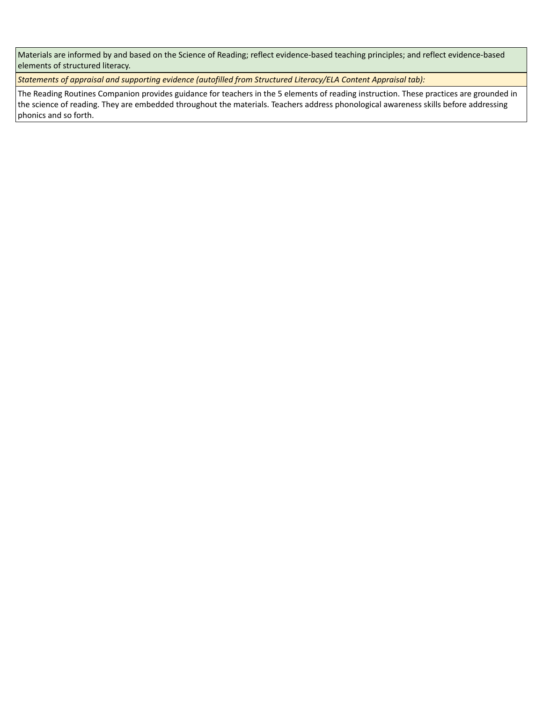Materials are informed by and based on the Science of Reading; reflect evidence-based teaching principles; and reflect evidence-based elements of structured literacy.

*Statements of appraisal and supporting evidence (autofilled from Structured Literacy/ELA Content Appraisal tab):* 

The Reading Routines Companion provides guidance for teachers in the 5 elements of reading instruction. These practices are grounded in the science of reading. They are embedded throughout the materials. Teachers address phonological awareness skills before addressing phonics and so forth.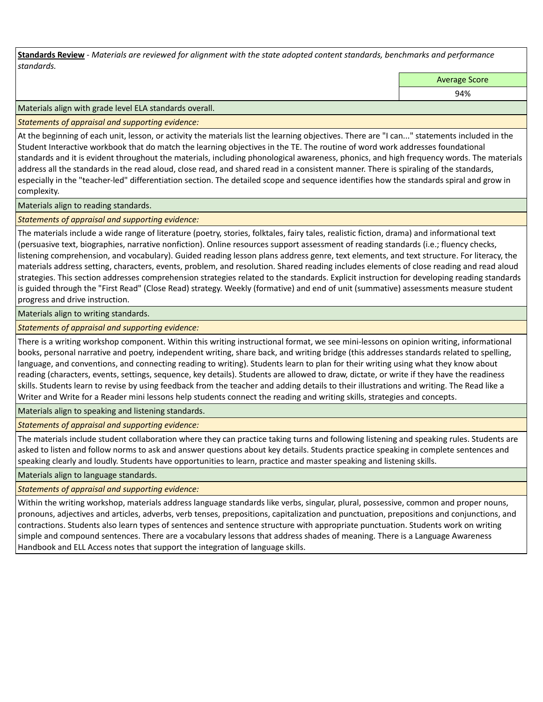**Standards Review** *- Materials are reviewed for alignment with the state adopted content standards, benchmarks and performance standards.*

Average Score

94%

Materials align with grade level ELA standards overall.

*Statements of appraisal and supporting evidence:* 

At the beginning of each unit, lesson, or activity the materials list the learning objectives. There are "I can..." statements included in the Student Interactive workbook that do match the learning objectives in the TE. The routine of word work addresses foundational standards and it is evident throughout the materials, including phonological awareness, phonics, and high frequency words. The materials address all the standards in the read aloud, close read, and shared read in a consistent manner. There is spiraling of the standards, especially in the "teacher-led" differentiation section. The detailed scope and sequence identifies how the standards spiral and grow in complexity.

Materials align to reading standards.

*Statements of appraisal and supporting evidence:* 

The materials include a wide range of literature (poetry, stories, folktales, fairy tales, realistic fiction, drama) and informational text (persuasive text, biographies, narrative nonfiction). Online resources support assessment of reading standards (i.e.; fluency checks, listening comprehension, and vocabulary). Guided reading lesson plans address genre, text elements, and text structure. For literacy, the materials address setting, characters, events, problem, and resolution. Shared reading includes elements of close reading and read aloud strategies. This section addresses comprehension strategies related to the standards. Explicit instruction for developing reading standards is guided through the "First Read" (Close Read) strategy. Weekly (formative) and end of unit (summative) assessments measure student progress and drive instruction.

Materials align to writing standards.

*Statements of appraisal and supporting evidence:* 

There is a writing workshop component. Within this writing instructional format, we see mini-lessons on opinion writing, informational books, personal narrative and poetry, independent writing, share back, and writing bridge (this addresses standards related to spelling, language, and conventions, and connecting reading to writing). Students learn to plan for their writing using what they know about reading (characters, events, settings, sequence, key details). Students are allowed to draw, dictate, or write if they have the readiness skills. Students learn to revise by using feedback from the teacher and adding details to their illustrations and writing. The Read like a Writer and Write for a Reader mini lessons help students connect the reading and writing skills, strategies and concepts.

Materials align to speaking and listening standards.

*Statements of appraisal and supporting evidence:* 

The materials include student collaboration where they can practice taking turns and following listening and speaking rules. Students are asked to listen and follow norms to ask and answer questions about key details. Students practice speaking in complete sentences and speaking clearly and loudly. Students have opportunities to learn, practice and master speaking and listening skills.

Materials align to language standards.

*Statements of appraisal and supporting evidence:* 

Within the writing workshop, materials address language standards like verbs, singular, plural, possessive, common and proper nouns, pronouns, adjectives and articles, adverbs, verb tenses, prepositions, capitalization and punctuation, prepositions and conjunctions, and contractions. Students also learn types of sentences and sentence structure with appropriate punctuation. Students work on writing simple and compound sentences. There are a vocabulary lessons that address shades of meaning. There is a Language Awareness Handbook and ELL Access notes that support the integration of language skills.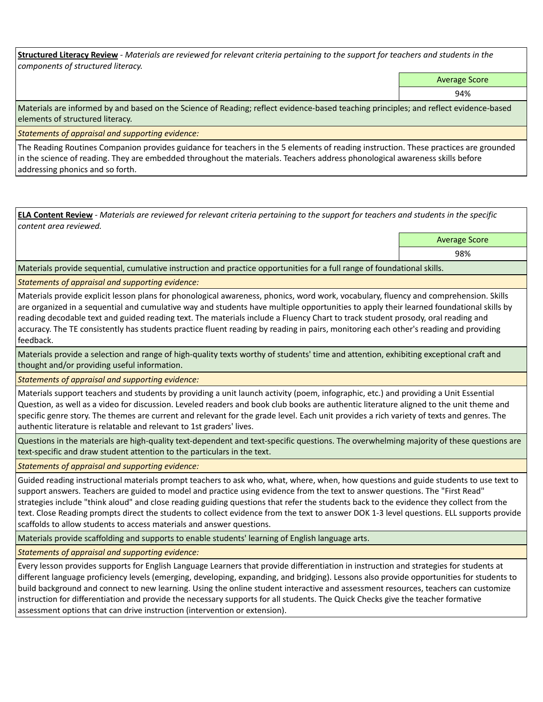**Structured Literacy Review** *- Materials are reviewed for relevant criteria pertaining to the support for teachers and students in the components of structured literacy.*

Average Score

94%

Materials are informed by and based on the Science of Reading; reflect evidence-based teaching principles; and reflect evidence-based elements of structured literacy.

*Statements of appraisal and supporting evidence:*

The Reading Routines Companion provides guidance for teachers in the 5 elements of reading instruction. These practices are grounded in the science of reading. They are embedded throughout the materials. Teachers address phonological awareness skills before addressing phonics and so forth.

**ELA Content Review** *- Materials are reviewed for relevant criteria pertaining to the support for teachers and students in the specific content area reviewed.*

Average Score

98%

Materials provide sequential, cumulative instruction and practice opportunities for a full range of foundational skills.

*Statements of appraisal and supporting evidence:* 

Materials provide explicit lesson plans for phonological awareness, phonics, word work, vocabulary, fluency and comprehension. Skills are organized in a sequential and cumulative way and students have multiple opportunities to apply their learned foundational skills by reading decodable text and guided reading text. The materials include a Fluency Chart to track student prosody, oral reading and accuracy. The TE consistently has students practice fluent reading by reading in pairs, monitoring each other's reading and providing feedback.

Materials provide a selection and range of high-quality texts worthy of students' time and attention, exhibiting exceptional craft and thought and/or providing useful information.

*Statements of appraisal and supporting evidence:* 

Materials support teachers and students by providing a unit launch activity (poem, infographic, etc.) and providing a Unit Essential Question, as well as a video for discussion. Leveled readers and book club books are authentic literature aligned to the unit theme and specific genre story. The themes are current and relevant for the grade level. Each unit provides a rich variety of texts and genres. The authentic literature is relatable and relevant to 1st graders' lives.

Questions in the materials are high-quality text-dependent and text-specific questions. The overwhelming majority of these questions are text-specific and draw student attention to the particulars in the text.

*Statements of appraisal and supporting evidence:* 

Guided reading instructional materials prompt teachers to ask who, what, where, when, how questions and guide students to use text to support answers. Teachers are guided to model and practice using evidence from the text to answer questions. The "First Read" strategies include "think aloud" and close reading guiding questions that refer the students back to the evidence they collect from the text. Close Reading prompts direct the students to collect evidence from the text to answer DOK 1-3 level questions. ELL supports provide scaffolds to allow students to access materials and answer questions.

Materials provide scaffolding and supports to enable students' learning of English language arts.

*Statements of appraisal and supporting evidence:* 

Every lesson provides supports for English Language Learners that provide differentiation in instruction and strategies for students at different language proficiency levels (emerging, developing, expanding, and bridging). Lessons also provide opportunities for students to build background and connect to new learning. Using the online student interactive and assessment resources, teachers can customize instruction for differentiation and provide the necessary supports for all students. The Quick Checks give the teacher formative assessment options that can drive instruction (intervention or extension).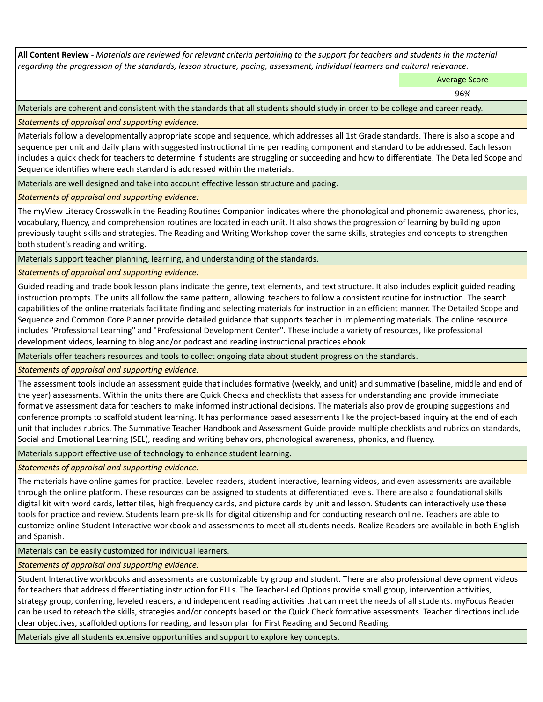**All Content Review** *- Materials are reviewed for relevant criteria pertaining to the support for teachers and students in the material regarding the progression of the standards, lesson structure, pacing, assessment, individual learners and cultural relevance.*

Average Score

96%

Materials are coherent and consistent with the standards that all students should study in order to be college and career ready.

*Statements of appraisal and supporting evidence:*

Materials follow a developmentally appropriate scope and sequence, which addresses all 1st Grade standards. There is also a scope and sequence per unit and daily plans with suggested instructional time per reading component and standard to be addressed. Each lesson includes a quick check for teachers to determine if students are struggling or succeeding and how to differentiate. The Detailed Scope and Sequence identifies where each standard is addressed within the materials.

Materials are well designed and take into account effective lesson structure and pacing.

*Statements of appraisal and supporting evidence:*

The myView Literacy Crosswalk in the Reading Routines Companion indicates where the phonological and phonemic awareness, phonics, vocabulary, fluency, and comprehension routines are located in each unit. It also shows the progression of learning by building upon previously taught skills and strategies. The Reading and Writing Workshop cover the same skills, strategies and concepts to strengthen both student's reading and writing.

Materials support teacher planning, learning, and understanding of the standards.

*Statements of appraisal and supporting evidence:*

Guided reading and trade book lesson plans indicate the genre, text elements, and text structure. It also includes explicit guided reading instruction prompts. The units all follow the same pattern, allowing teachers to follow a consistent routine for instruction. The search capabilities of the online materials facilitate finding and selecting materials for instruction in an efficient manner. The Detailed Scope and Sequence and Common Core Planner provide detailed guidance that supports teacher in implementing materials. The online resource includes "Professional Learning" and "Professional Development Center". These include a variety of resources, like professional development videos, learning to blog and/or podcast and reading instructional practices ebook.

Materials offer teachers resources and tools to collect ongoing data about student progress on the standards.

*Statements of appraisal and supporting evidence:*

The assessment tools include an assessment guide that includes formative (weekly, and unit) and summative (baseline, middle and end of the year) assessments. Within the units there are Quick Checks and checklists that assess for understanding and provide immediate formative assessment data for teachers to make informed instructional decisions. The materials also provide grouping suggestions and conference prompts to scaffold student learning. It has performance based assessments like the project-based inquiry at the end of each unit that includes rubrics. The Summative Teacher Handbook and Assessment Guide provide multiple checklists and rubrics on standards, Social and Emotional Learning (SEL), reading and writing behaviors, phonological awareness, phonics, and fluency.

Materials support effective use of technology to enhance student learning.

*Statements of appraisal and supporting evidence:*

The materials have online games for practice. Leveled readers, student interactive, learning videos, and even assessments are available through the online platform. These resources can be assigned to students at differentiated levels. There are also a foundational skills digital kit with word cards, letter tiles, high frequency cards, and picture cards by unit and lesson. Students can interactively use these tools for practice and review. Students learn pre-skills for digital citizenship and for conducting research online. Teachers are able to customize online Student Interactive workbook and assessments to meet all students needs. Realize Readers are available in both English and Spanish.

Materials can be easily customized for individual learners.

*Statements of appraisal and supporting evidence:* 

Student Interactive workbooks and assessments are customizable by group and student. There are also professional development videos for teachers that address differentiating instruction for ELLs. The Teacher-Led Options provide small group, intervention activities, strategy group, conferring, leveled readers, and independent reading activities that can meet the needs of all students. myFocus Reader can be used to reteach the skills, strategies and/or concepts based on the Quick Check formative assessments. Teacher directions include clear objectives, scaffolded options for reading, and lesson plan for First Reading and Second Reading.

Materials give all students extensive opportunities and support to explore key concepts.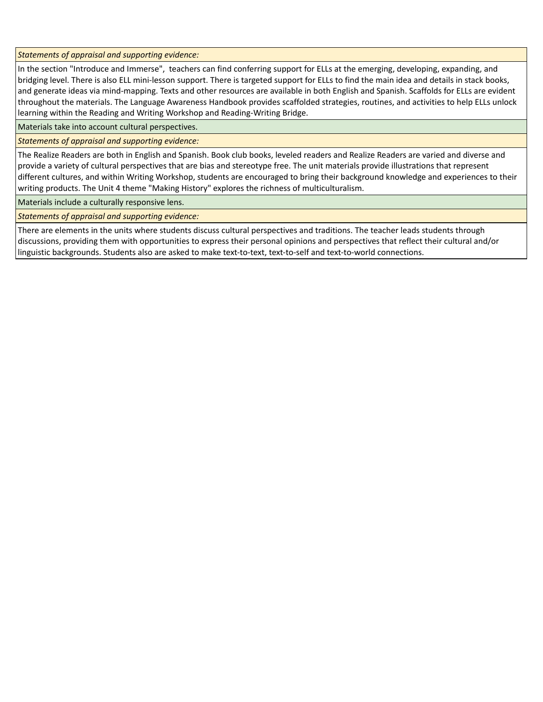*Statements of appraisal and supporting evidence:*

In the section "Introduce and Immerse", teachers can find conferring support for ELLs at the emerging, developing, expanding, and bridging level. There is also ELL mini-lesson support. There is targeted support for ELLs to find the main idea and details in stack books, and generate ideas via mind-mapping. Texts and other resources are available in both English and Spanish. Scaffolds for ELLs are evident throughout the materials. The Language Awareness Handbook provides scaffolded strategies, routines, and activities to help ELLs unlock learning within the Reading and Writing Workshop and Reading-Writing Bridge.

Materials take into account cultural perspectives.

*Statements of appraisal and supporting evidence:*

The Realize Readers are both in English and Spanish. Book club books, leveled readers and Realize Readers are varied and diverse and provide a variety of cultural perspectives that are bias and stereotype free. The unit materials provide illustrations that represent different cultures, and within Writing Workshop, students are encouraged to bring their background knowledge and experiences to their writing products. The Unit 4 theme "Making History" explores the richness of multiculturalism.

Materials include a culturally responsive lens.

*Statements of appraisal and supporting evidence:*

There are elements in the units where students discuss cultural perspectives and traditions. The teacher leads students through discussions, providing them with opportunities to express their personal opinions and perspectives that reflect their cultural and/or linguistic backgrounds. Students also are asked to make text-to-text, text-to-self and text-to-world connections.